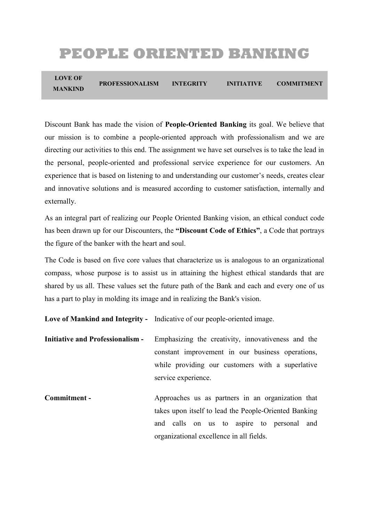# **PEOPLE ORIENTED BANKING**

**LOVE OF MANKIND PROFESSIONALISM INTEGRITY INITIATIVE COMMITMENT**

Discount Bank has made the vision of **People-Oriented Banking** its goal. We believe that our mission is to combine a people-oriented approach with professionalism and we are directing our activities to this end. The assignment we have set ourselves is to take the lead in the personal, people-oriented and professional service experience for our customers. An experience that is based on listening to and understanding our customer's needs, creates clear and innovative solutions and is measured according to customer satisfaction, internally and externally.

As an integral part of realizing our People Oriented Banking vision, an ethical conduct code has been drawn up for our Discounters, the **"Discount Code of Ethics"**, a Code that portrays the figure of the banker with the heart and soul.

The Code is based on five core values that characterize us is analogous to an organizational compass, whose purpose is to assist us in attaining the highest ethical standards that are shared by us all. These values set the future path of the Bank and each and every one of us has a part to play in molding its image and in realizing the Bank's vision.

**Love of Mankind and Integrity -** Indicative of our people-oriented image.

**Initiative and Professionalism -** Emphasizing the creativity, innovativeness and the constant improvement in our business operations, while providing our customers with a superlative service experience.

**Commitment -** Approaches us as partners in an organization that takes upon itself to lead the People-Oriented Banking and calls on us to aspire to personal and organizational excellence in all fields.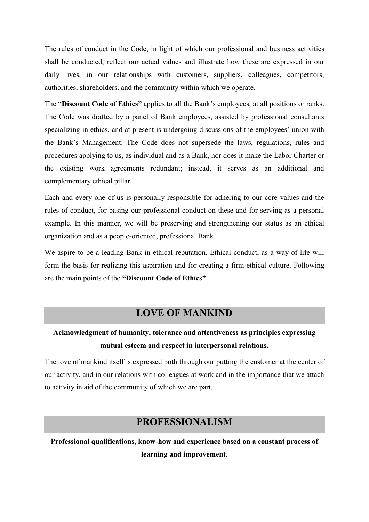The rules of conduct in the Code, in light of which our professional and business activities shall be conducted, reflect our actual values and illustrate how these are expressed in our daily lives, in our relationships with customers, suppliers, colleagues, competitors, authorities, shareholders, and the community within which we operate.

The **"Discount Code of Ethics"** applies to all the Bank's employees, at all positions or ranks. The Code was drafted by a panel of Bank employees, assisted by professional consultants specializing in ethics, and at present is undergoing discussions of the employees' union with the Bank's Management. The Code does not supersede the laws, regulations, rules and procedures applying to us, as individual and as a Bank, nor does it make the Labor Charter or the existing work agreements redundant; instead, it serves as an additional and complementary ethical pillar.

Each and every one of us is personally responsible for adhering to our core values and the rules of conduct, for basing our professional conduct on these and for serving as a personal example. In this manner, we will be preserving and strengthening our status as an ethical organization and as a people-oriented, professional Bank.

We aspire to be a leading Bank in ethical reputation. Ethical conduct, as a way of life will form the basis for realizing this aspiration and for creating a firm ethical culture. Following are the main points of the **"Discount Code of Ethics"**.

# **LOVE OF MANKIND**

# **Acknowledgment of humanity, tolerance and attentiveness as principles expressing mutual esteem and respect in interpersonal relations.**

The love of mankind itself is expressed both through our putting the customer at the center of our activity, and in our relations with colleagues at work and in the importance that we attach to activity in aid of the community of which we are part.

# **PROFESSIONALISM**

**Professional qualifications, know-how and experience based on a constant process of learning and improvement.**